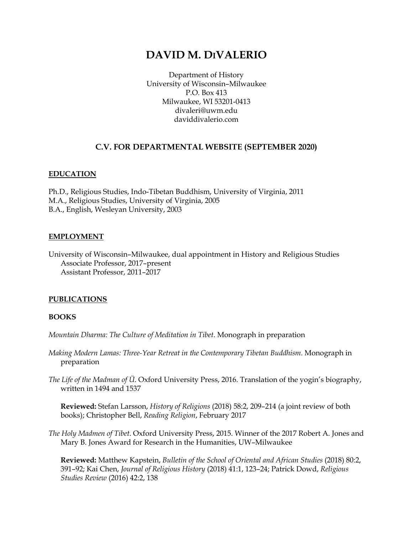# **DAVID M. DIVALERIO**

Department of History University of Wisconsin–Milwaukee P.O. Box 413 Milwaukee, WI 53201-0413 divaleri@uwm.edu daviddivalerio.com

# **C.V. FOR DEPARTMENTAL WEBSITE (SEPTEMBER 2020)**

### **EDUCATION**

Ph.D., Religious Studies, Indo-Tibetan Buddhism, University of Virginia, 2011 M.A., Religious Studies, University of Virginia, 2005 B.A., English, Wesleyan University, 2003

### **EMPLOYMENT**

University of Wisconsin–Milwaukee, dual appointment in History and Religious Studies Associate Professor, 2017–present Assistant Professor, 2011–2017

# **PUBLICATIONS**

### **BOOKS**

*Mountain Dharma: The Culture of Meditation in Tibet*. Monograph in preparation

- *Making Modern Lamas: Three-Year Retreat in the Contemporary Tibetan Buddhism*. Monograph in preparation
- *The Life of the Madman of Ü*. Oxford University Press, 2016. Translation of the yogin's biography, written in 1494 and 1537

**Reviewed:** Stefan Larsson, *History of Religions* (2018) 58:2, 209–214 (a joint review of both books); Christopher Bell, *Reading Religion*, February 2017

*The Holy Madmen of Tibet*. Oxford University Press, 2015. Winner of the 2017 Robert A. Jones and Mary B. Jones Award for Research in the Humanities, UW–Milwaukee

**Reviewed:** Matthew Kapstein, *Bulletin of the School of Oriental and African Studies* (2018) 80:2, 391–92; Kai Chen, *Journal of Religious History* (2018) 41:1, 123–24; Patrick Dowd, *Religious Studies Review* (2016) 42:2, 138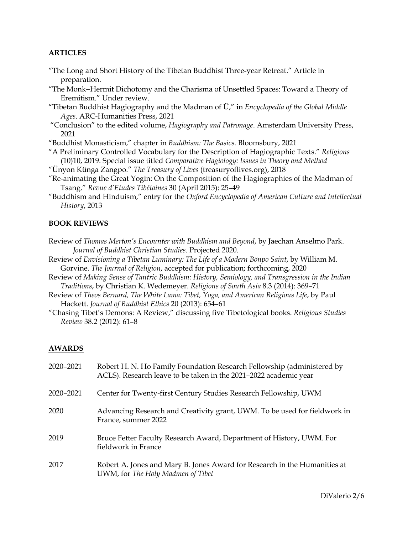### **ARTICLES**

- "The Long and Short History of the Tibetan Buddhist Three-year Retreat." Article in preparation.
- "The Monk-Hermit Dichotomy and the Charisma of Unsettled Spaces: Toward a Theory of Eremitism." Under review.
- "Tibetan Buddhist Hagiography and the Madman of Ü," in *Encyclopedia of the Global Middle Ages*. ARC-Humanities Press, 2021
- "Conclusion" to the edited volume, *Hagiography and Patronage*. Amsterdam University Press, 2021

"Buddhist Monasticism," chapter in *Buddhism: The Basics*. Bloomsbury, 2021

- "A Preliminary Controlled Vocabulary for the Description of Hagiographic Texts." *Religions* (10)10, 2019. Special issue titled *Comparative Hagiology: Issues in Theory and Method*
- "Ünyon Künga Zangpo." *The Treasury of Lives* (treasuryoflives.org), 2018
- "Re-animating the Great Yogin: On the Composition of the Hagiographies of the Madman of Tsang." *Revue d'Etudes Tibétaines* 30 (April 2015): 25–49
- "Buddhism and Hinduism," entry for the *Oxford Encyclopedia of American Culture and Intellectual History*, 2013

### **BOOK REVIEWS**

- Review of *Thomas Merton's Encounter with Buddhism and Beyond*, by Jaechan Anselmo Park. *Journal of Buddhist Christian Studies*. Projected 2020.
- Review of *Envisioning a Tibetan Luminary: The Life of a Modern Bönpo Saint*, by William M. Gorvine. *The Journal of Religion*, accepted for publication; forthcoming, 2020
- Review of *Making Sense of Tantric Buddhism: History, Semiology, and Transgression in the Indian Traditions*, by Christian K. Wedemeyer. *Religions of South Asia* 8.3 (2014): 369–71
- Review of *Theos Bernard, The White Lama: Tibet, Yoga, and American Religious Life*, by Paul Hackett. *Journal of Buddhist Ethics* 20 (2013): 654–61
- "Chasing Tibet's Demons: A Review," discussing five Tibetological books. *Religious Studies Review* 38.2 (2012): 61–8

### **AWARDS**

| 2020-2021 | Robert H. N. Ho Family Foundation Research Fellowship (administered by<br>ACLS). Research leave to be taken in the 2021-2022 academic year |
|-----------|--------------------------------------------------------------------------------------------------------------------------------------------|
| 2020-2021 | Center for Twenty-first Century Studies Research Fellowship, UWM                                                                           |
| 2020      | Advancing Research and Creativity grant, UWM. To be used for fieldwork in<br>France, summer 2022                                           |
| 2019      | Bruce Fetter Faculty Research Award, Department of History, UWM. For<br>fieldwork in France                                                |
| 2017      | Robert A. Jones and Mary B. Jones Award for Research in the Humanities at<br>UWM, for The Holy Madmen of Tibet                             |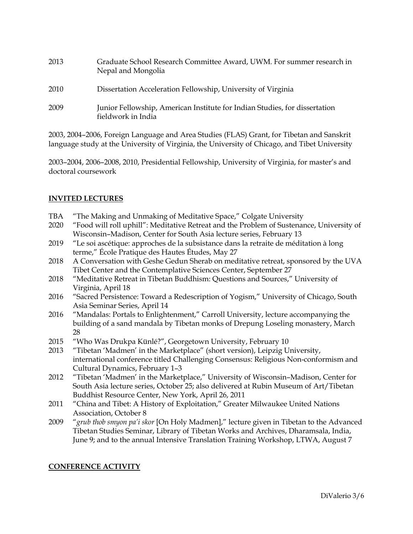2013 Graduate School Research Committee Award, UWM. For summer research in Nepal and Mongolia 2010 Dissertation Acceleration Fellowship, University of Virginia 2009 Junior Fellowship, American Institute for Indian Studies, for dissertation fieldwork in India

2003, 2004–2006, Foreign Language and Area Studies (FLAS) Grant, for Tibetan and Sanskrit language study at the University of Virginia, the University of Chicago, and Tibet University

2003–2004, 2006–2008, 2010, Presidential Fellowship, University of Virginia, for master's and doctoral coursework

# **INVITED LECTURES**

- TBA "The Making and Unmaking of Meditative Space," Colgate University
- 2020 "Food will roll uphill": Meditative Retreat and the Problem of Sustenance, University of Wisconsin–Madison, Center for South Asia lecture series, February 13
- 2019 "Le soi ascétique: approches de la subsistance dans la retraite de méditation à long terme," École Pratique des Hautes Études, May 27
- 2018 A Conversation with Geshe Gedun Sherab on meditative retreat, sponsored by the UVA Tibet Center and the Contemplative Sciences Center, September 27
- 2018 "Meditative Retreat in Tibetan Buddhism: Questions and Sources," University of Virginia, April 18
- 2016 "Sacred Persistence: Toward a Redescription of Yogism," University of Chicago, South Asia Seminar Series, April 14
- 2016 "Mandalas: Portals to Enlightenment," Carroll University, lecture accompanying the building of a sand mandala by Tibetan monks of Drepung Loseling monastery, March 28
- 2015 "Who Was Drukpa Künlé?", Georgetown University, February 10
- 2013 "Tibetan 'Madmen' in the Marketplace" (short version), Leipzig University, international conference titled Challenging Consensus: Religious Non-conformism and Cultural Dynamics, February 1–3
- 2012 "Tibetan 'Madmen' in the Marketplace," University of Wisconsin–Madison, Center for South Asia lecture series, October 25; also delivered at Rubin Museum of Art/Tibetan Buddhist Resource Center, New York, April 26, 2011
- 2011 "China and Tibet: A History of Exploitation," Greater Milwaukee United Nations Association, October 8
- 2009 "*grub thob smyon pa'i skor* [On Holy Madmen]," lecture given in Tibetan to the Advanced Tibetan Studies Seminar, Library of Tibetan Works and Archives, Dharamsala, India, June 9; and to the annual Intensive Translation Training Workshop, LTWA, August 7

# **CONFERENCE ACTIVITY**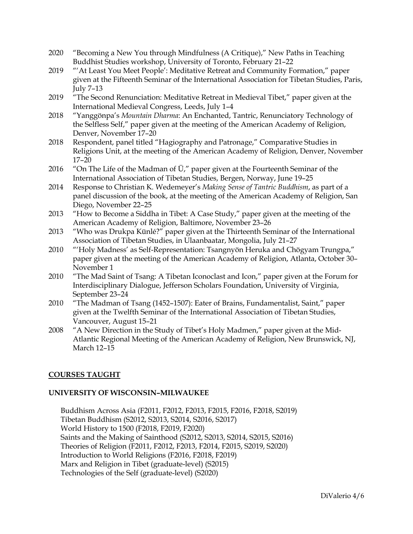- 2020 "Becoming a New You through Mindfulness (A Critique)," New Paths in Teaching Buddhist Studies workshop, University of Toronto, February 21–22
- 2019 "'At Least You Meet People': Meditative Retreat and Community Formation," paper given at the Fifteenth Seminar of the International Association for Tibetan Studies, Paris, July 7–13
- 2019 "The Second Renunciation: Meditative Retreat in Medieval Tibet," paper given at the International Medieval Congress, Leeds, July 1–4
- 2018 "Yanggönpa's *Mountain Dharma*: An Enchanted, Tantric, Renunciatory Technology of the Selfless Self," paper given at the meeting of the American Academy of Religion, Denver, November 17–20
- 2018 Respondent, panel titled "Hagiography and Patronage," Comparative Studies in Religions Unit, at the meeting of the American Academy of Religion, Denver, November 17–20
- 2016 "On The Life of the Madman of  $\ddot{\mathrm{U}}$ ," paper given at the Fourteenth Seminar of the International Association of Tibetan Studies, Bergen, Norway, June 19–25
- 2014 Response to Christian K. Wedemeyer's *Making Sense of Tantric Buddhism*, as part of a panel discussion of the book, at the meeting of the American Academy of Religion, San Diego, November 22–25
- 2013 "How to Become a Siddha in Tibet: A Case Study," paper given at the meeting of the American Academy of Religion, Baltimore, November 23–26
- 2013 "Who was Drukpa Künlé?" paper given at the Thirteenth Seminar of the International Association of Tibetan Studies, in Ulaanbaatar, Mongolia, July 21–27
- 2010 "'Holy Madness' as Self-Representation: Tsangnyön Heruka and Chögyam Trungpa," paper given at the meeting of the American Academy of Religion, Atlanta, October 30– November 1
- 2010 "The Mad Saint of Tsang: A Tibetan Iconoclast and Icon," paper given at the Forum for Interdisciplinary Dialogue, Jefferson Scholars Foundation, University of Virginia, September 23–24
- 2010 "The Madman of Tsang (1452–1507): Eater of Brains, Fundamentalist, Saint," paper given at the Twelfth Seminar of the International Association of Tibetan Studies, Vancouver, August 15–21
- 2008 "A New Direction in the Study of Tibet's Holy Madmen," paper given at the Mid-Atlantic Regional Meeting of the American Academy of Religion, New Brunswick, NJ, March 12–15

# **COURSES TAUGHT**

# **UNIVERSITY OF WISCONSIN–MILWAUKEE**

Buddhism Across Asia (F2011, F2012, F2013, F2015, F2016, F2018, S2019) Tibetan Buddhism (S2012, S2013, S2014, S2016, S2017) World History to 1500 (F2018, F2019, F2020) Saints and the Making of Sainthood (S2012, S2013, S2014, S2015, S2016) Theories of Religion (F2011, F2012, F2013, F2014, F2015, S2019, S2020) Introduction to World Religions (F2016, F2018, F2019) Marx and Religion in Tibet (graduate-level) (S2015) Technologies of the Self (graduate-level) (S2020)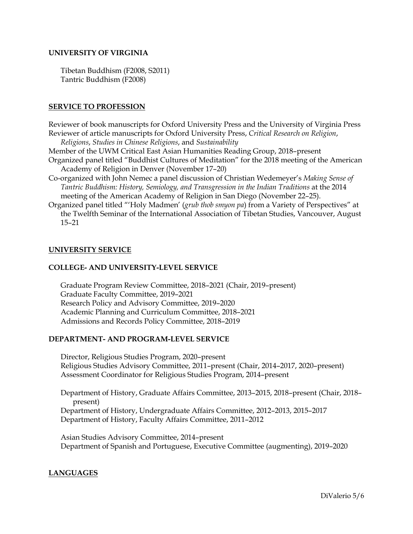### **UNIVERSITY OF VIRGINIA**

Tibetan Buddhism (F2008, S2011) Tantric Buddhism (F2008)

### **SERVICE TO PROFESSION**

Reviewer of book manuscripts for Oxford University Press and the University of Virginia Press Reviewer of article manuscripts for Oxford University Press, *Critical Research on Religion*, *Religions*, *Studies in Chinese Religions*, and *Sustainability*

Member of the UWM Critical East Asian Humanities Reading Group, 2018–present

- Organized panel titled "Buddhist Cultures of Meditation" for the 2018 meeting of the American Academy of Religion in Denver (November 17–20)
- Co-organized with John Nemec a panel discussion of Christian Wedemeyer's *Making Sense of Tantric Buddhism: History, Semiology, and Transgression in the Indian Traditions* at the 2014 meeting of the American Academy of Religion in San Diego (November 22–25).
- Organized panel titled "'Holy Madmen' (*grub thob smyon pa*) from a Variety of Perspectives" at the Twelfth Seminar of the International Association of Tibetan Studies, Vancouver, August 15–21

### **UNIVERSITY SERVICE**

### **COLLEGE- AND UNIVERSITY-LEVEL SERVICE**

Graduate Program Review Committee, 2018–2021 (Chair, 2019–present) Graduate Faculty Committee, 2019–2021 Research Policy and Advisory Committee, 2019–2020 Academic Planning and Curriculum Committee, 2018–2021 Admissions and Records Policy Committee, 2018–2019

### **DEPARTMENT- AND PROGRAM-LEVEL SERVICE**

Director, Religious Studies Program, 2020–present Religious Studies Advisory Committee, 2011–present (Chair, 2014–2017, 2020–present) Assessment Coordinator for Religious Studies Program, 2014–present

Department of History, Graduate Affairs Committee, 2013-2015, 2018-present (Chair, 2018present)

Department of History, Undergraduate Affairs Committee, 2012–2013, 2015–2017 Department of History, Faculty Affairs Committee, 2011–2012

Asian Studies Advisory Committee, 2014–present Department of Spanish and Portuguese, Executive Committee (augmenting), 2019–2020

# **LANGUAGES**